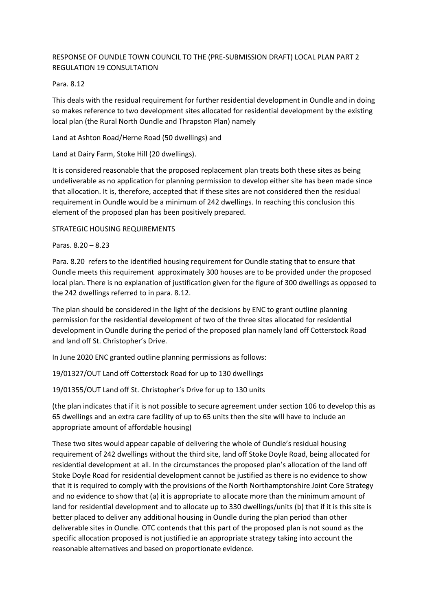# RESPONSE OF OUNDLE TOWN COUNCIL TO THE (PRE-SUBMISSION DRAFT) LOCAL PLAN PART 2 REGULATION 19 CONSULTATION

## Para. 8.12

This deals with the residual requirement for further residential development in Oundle and in doing so makes reference to two development sites allocated for residential development by the existing local plan (the Rural North Oundle and Thrapston Plan) namely

Land at Ashton Road/Herne Road (50 dwellings) and

Land at Dairy Farm, Stoke Hill (20 dwellings).

It is considered reasonable that the proposed replacement plan treats both these sites as being undeliverable as no application for planning permission to develop either site has been made since that allocation. It is, therefore, accepted that if these sites are not considered then the residual requirement in Oundle would be a minimum of 242 dwellings. In reaching this conclusion this element of the proposed plan has been positively prepared.

## STRATEGIC HOUSING REQUIREMENTS

Paras. 8.20 – 8.23

Para. 8.20 refers to the identified housing requirement for Oundle stating that to ensure that Oundle meets this requirement approximately 300 houses are to be provided under the proposed local plan. There is no explanation of justification given for the figure of 300 dwellings as opposed to the 242 dwellings referred to in para. 8.12.

The plan should be considered in the light of the decisions by ENC to grant outline planning permission for the residential development of two of the three sites allocated for residential development in Oundle during the period of the proposed plan namely land off Cotterstock Road and land off St. Christopher's Drive.

In June 2020 ENC granted outline planning permissions as follows:

19/01327/OUT Land off Cotterstock Road for up to 130 dwellings

19/01355/OUT Land off St. Christopher's Drive for up to 130 units

(the plan indicates that if it is not possible to secure agreement under section 106 to develop this as 65 dwellings and an extra care facility of up to 65 units then the site will have to include an appropriate amount of affordable housing)

These two sites would appear capable of delivering the whole of Oundle's residual housing requirement of 242 dwellings without the third site, land off Stoke Doyle Road, being allocated for residential development at all. In the circumstances the proposed plan's allocation of the land off Stoke Doyle Road for residential development cannot be justified as there is no evidence to show that it is required to comply with the provisions of the North Northamptonshire Joint Core Strategy and no evidence to show that (a) it is appropriate to allocate more than the minimum amount of land for residential development and to allocate up to 330 dwellings/units (b) that if it is this site is better placed to deliver any additional housing in Oundle during the plan period than other deliverable sites in Oundle. OTC contends that this part of the proposed plan is not sound as the specific allocation proposed is not justified ie an appropriate strategy taking into account the reasonable alternatives and based on proportionate evidence.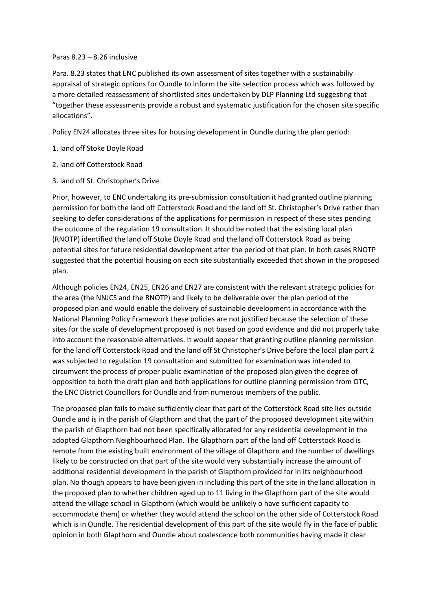#### Paras 8.23 – 8.26 inclusive

Para. 8.23 states that ENC published its own assessment of sites together with a sustainabiliy appraisal of strategic options for Oundle to inform the site selection process which was followed by a more detailed reassessment of shortlisted sites undertaken by DLP Planning Ltd suggesting that "together these assessments provide a robust and systematic justification for the chosen site specific allocations".

Policy EN24 allocates three sites for housing development in Oundle during the plan period:

- 1. land off Stoke Doyle Road
- 2. land off Cotterstock Road
- 3. land off St. Christopher's Drive.

Prior, however, to ENC undertaking its pre-submission consultation it had granted outline planning permission for both the land off Cotterstock Road and the land off St. Christopher's Drive rather than seeking to defer considerations of the applications for permission in respect of these sites pending the outcome of the regulation 19 consultation. It should be noted that the existing local plan (RNOTP) identified the land off Stoke Doyle Road and the land off Cotterstock Road as being potential sites for future residential development after the period of that plan. In both cases RNOTP suggested that the potential housing on each site substantially exceeded that shown in the proposed plan.

Although policies EN24, EN25, EN26 and EN27 are consistent with the relevant strategic policies for the area (the NNJCS and the RNOTP) and likely to be deliverable over the plan period of the proposed plan and would enable the delivery of sustainable development in accordance with the National Planning Policy Framework these policies are not justified because the selection of these sites for the scale of development proposed is not based on good evidence and did not properly take into account the reasonable alternatives. It would appear that granting outline planning permission for the land off Cotterstock Road and the land off St Christopher's Drive before the local plan part 2 was subjected to regulation 19 consultation and submitted for examination was intended to circumvent the process of proper public examination of the proposed plan given the degree of opposition to both the draft plan and both applications for outline planning permission from OTC, the ENC District Councillors for Oundle and from numerous members of the public.

The proposed plan fails to make sufficiently clear that part of the Cotterstock Road site lies outside Oundle and is in the parish of Glapthorn and that the part of the proposed development site within the parish of Glapthorn had not been specifically allocated for any residential development in the adopted Glapthorn Neighbourhood Plan. The Glapthorn part of the land off Cotterstock Road is remote from the existing built environment of the village of Glapthorn and the number of dwellings likely to be constructed on that part of the site would very substantially increase the amount of additional residential development in the parish of Glapthorn provided for in its neighbourhood plan. No though appears to have been given in including this part of the site in the land allocation in the proposed plan to whether children aged up to 11 living in the Glapthorn part of the site would attend the village school in Glapthorn (which would be unlikely o have sufficient capacity to accommodate them) or whether they would attend the school on the other side of Cotterstock Road which is in Oundle. The residential development of this part of the site would fly in the face of public opinion in both Glapthorn and Oundle about coalescence both communities having made it clear